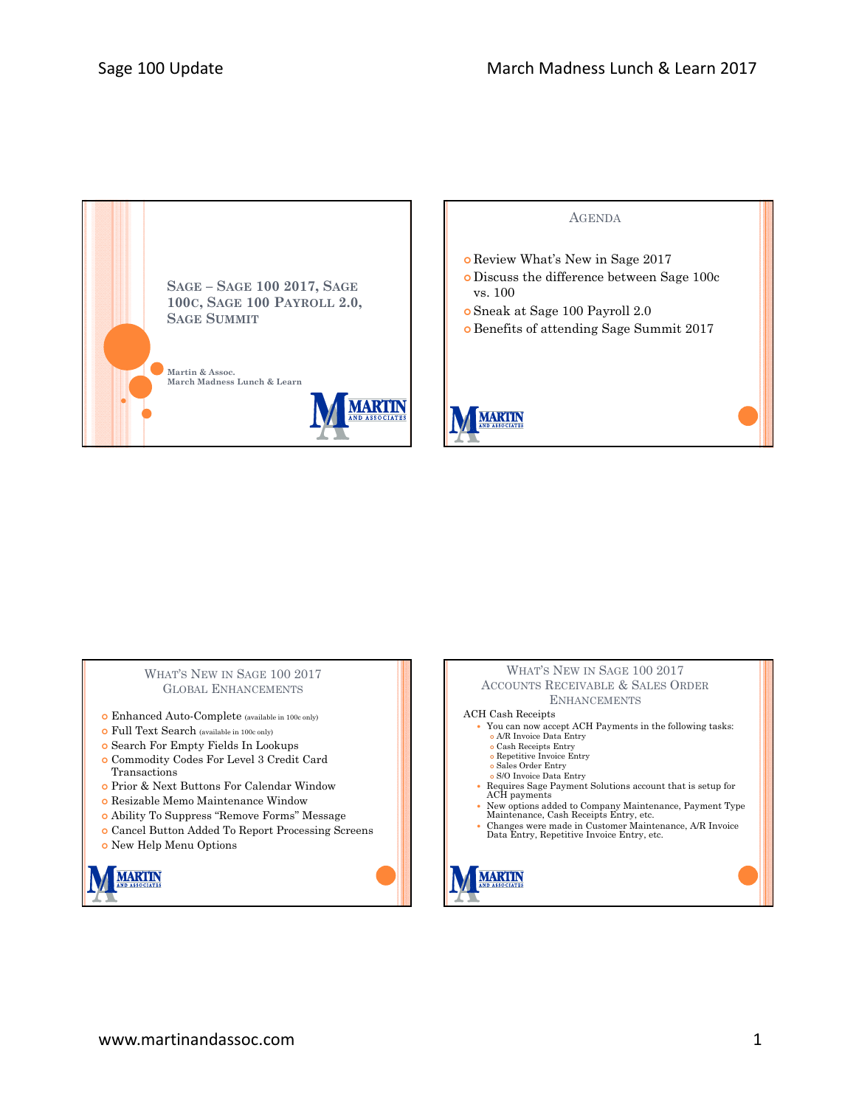

## WHAT'S NEW IN SAGE 100 2017 GLOBAL ENHANCEMENTS

- Enhanced Auto-Complete (available in 100c only)
- Full Text Search (available in 100c only)
- Search For Empty Fields In Lookups
- Commodity Codes For Level 3 Credit Card Transactions
- Prior & Next Buttons For Calendar Window
- Resizable Memo Maintenance Window
- Ability To Suppress "Remove Forms" Message
- Cancel Button Added To Report Processing Screens
- New Help Menu Options



## WHAT'S NEW IN SAGE 100 2017 ACCOUNTS RECEIVABLE & SALES ORDER ENHANCEMENTS

ACH Cash Receipts

- You can now accept ACH Payments in the following tasks: A/R Invoice Data Entry
- Cash Receipts Entry
- Repetitive Invoice Entry
- 
- Sales Order Entry S/O Invoice Data Entry
- Requires Sage Payment Solutions account that is setup for ACH payments
- 
- New options added to Company Maintenance, Payment Type Maintenance, Cash Receipts Entry, etc.
- Changes were made in Customer Maintenance, A/R Invoice Data Entry, Repetitive Invoice Entry, etc.

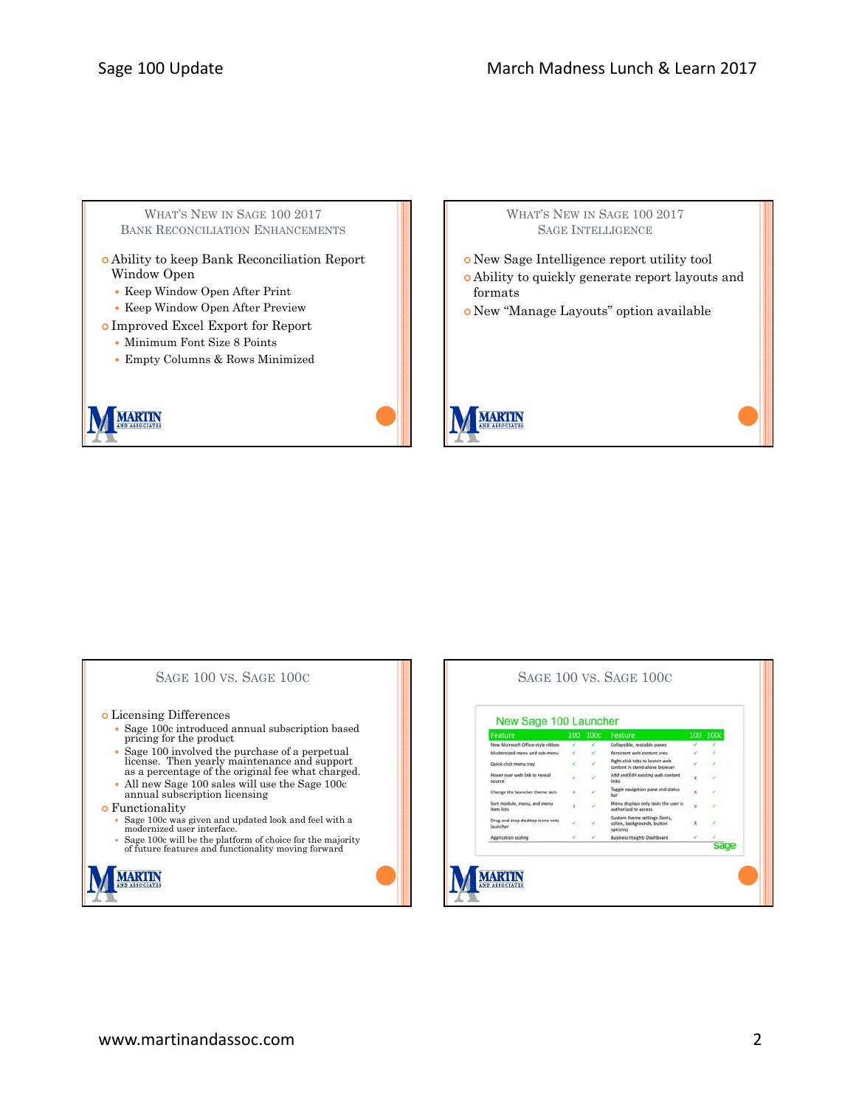WHAT'S NEW IN SAGE 100 2017 BANK RECONCILIATION ENHANCEMENTS

- Ability to keep Bank Reconciliation Report Window Open
	- Keep Window Open After Print
	- Keep Window Open After Preview
- Improved Excel Export for Report
	- Minimum Font Size 8 Points
	- Empty Columns & Rows Minimized





# SAGE 100 VS. SAGE 100C Licensing Differences Sage 100c introduced annual subscription based pricing for the product Sage 100 involved the purchase of a perpetual license. Then yearly maintenance and support as a percentage of the original fee what charged. All new Sage 100 sales will use the Sage 100c annual subscription licensing **o** Functionality Sage 100c was given and updated look and feel with a modernized user interface. Sage 100c will be the platform of choice for the majority of future features and functionality moving forward **IARTIN**

| New Sage 100 Launcher                        |     |      |                                                                          |     |      |
|----------------------------------------------|-----|------|--------------------------------------------------------------------------|-----|------|
| Feature                                      | 100 | 100c | Feature                                                                  | 100 | 100c |
| New Microsoft Office-style ribbon            |     |      | Collapsible, resizable panes                                             |     |      |
| Modernized menu and sub-menu.                |     |      | Persistent web content area                                              |     |      |
| Quick-click menu tray                        |     |      | Right-click tabs to launch web<br>content in stand-alone browser         |     |      |
| Hover over web link to reveal<br>source      |     |      | Add and Edit existing web content<br>links                               | x   |      |
| Change the launcher theme skin               | ×   |      | Toggle navigation pane and status<br>bar                                 | x   |      |
| Sort module, menu, and menu<br>item lists    | x   |      | Menu displays only tasks the user is<br>authorized to access.            | x   |      |
| Drag and drop desktop icons onto<br>Isuncher |     |      | Custom theme settings (fonts,<br>colors, backgrounds, button<br>options) | x   |      |
| Application scaling                          |     |      | <b>Business Insights Dashboard</b>                                       |     |      |
|                                              |     |      |                                                                          |     |      |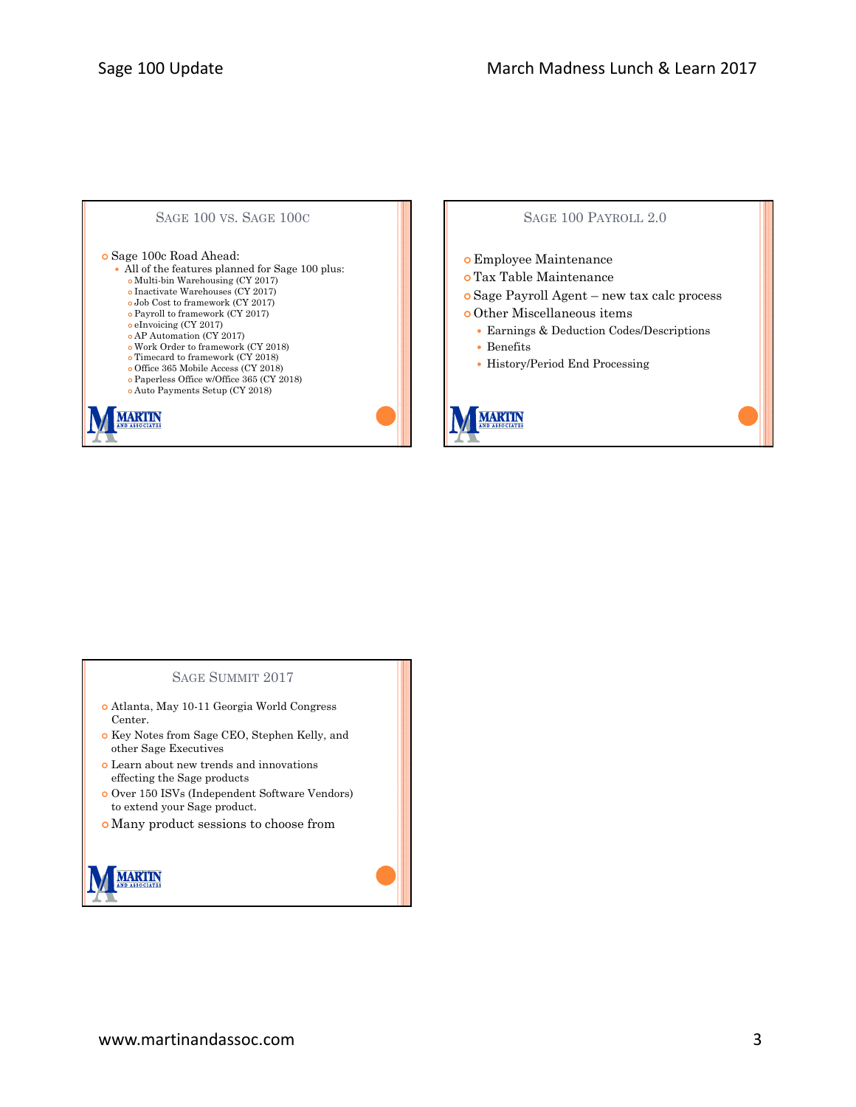

## SAGE 100 PAYROLL 2.0

Employee Maintenance

 Tax Table Maintenance Sage Payroll Agent – new tax calc process Other Miscellaneous items Earnings & Deduction Codes/Descriptions Benefits History/Period End Processing **ARTIN** 

#### SAGE SUMMIT 2017

- Atlanta, May 10-11 Georgia World Congress Center.
- o Key Notes from Sage CEO, Stephen Kelly, and other Sage Executives
- Learn about new trends and innovations effecting the Sage products
- Over 150 ISVs (Independent Software Vendors) to extend your Sage product.
- Many product sessions to choose from

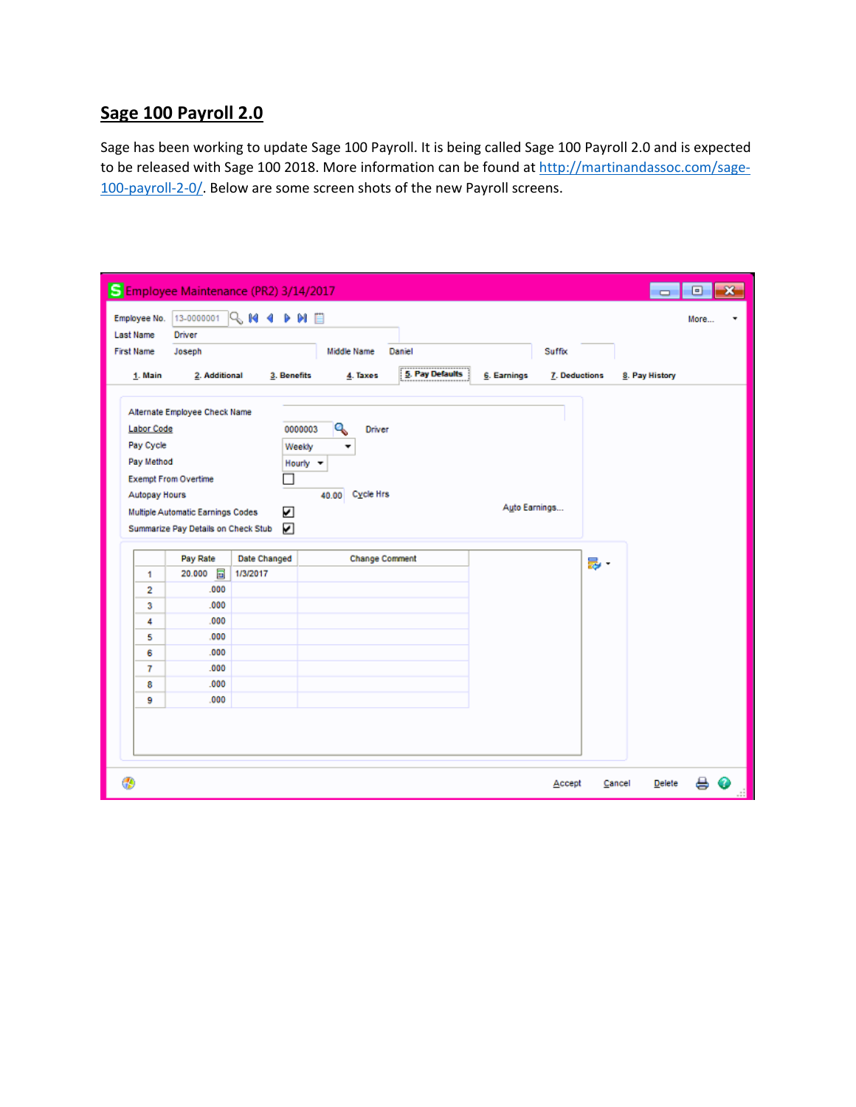# **Sage 100 Payroll 2.0**

Sage has been working to update Sage 100 Payroll. It is being called Sage 100 Payroll 2.0 and is expected to be released with Sage 100 2018. More information can be found at http://martinandassoc.com/sage-100-payroll-2-0/. Below are some screen shots of the new Payroll screens.

| Employee No.      | 13-0000001                          | $R$ m 4 p m $E$     |             |                           |                     |             |               |    |                | More |  |
|-------------------|-------------------------------------|---------------------|-------------|---------------------------|---------------------|-------------|---------------|----|----------------|------|--|
| Last Name         | Driver                              |                     |             |                           |                     |             |               |    |                |      |  |
| <b>First Name</b> | Joseph                              |                     |             | Middle Name               | Daniel              |             | Suffix        |    |                |      |  |
| 1. Main           | 2. Additional                       |                     | 3. Benefits | 4. Taxes                  | <br>5. Pay Defaults | 6. Earnings | 7. Deductions |    | 8. Pay History |      |  |
|                   | Alternate Employee Check Name       |                     |             |                           |                     |             |               |    |                |      |  |
| <b>Labor Code</b> |                                     |                     | 0000003     | ٩<br>Driver               |                     |             |               |    |                |      |  |
| Pay Cycle         |                                     |                     | Weekly      |                           |                     |             |               |    |                |      |  |
| Pay Method        |                                     |                     | Hourly -    |                           |                     |             |               |    |                |      |  |
|                   | <b>Exempt From Overtime</b>         |                     |             |                           |                     |             |               |    |                |      |  |
| Autopay Hours     |                                     |                     |             |                           |                     |             |               |    |                |      |  |
|                   |                                     |                     |             | <b>Cycle Hrs</b><br>40.00 |                     |             |               |    |                |      |  |
|                   |                                     |                     |             |                           |                     |             | Auto Earnings |    |                |      |  |
|                   | Multiple Automatic Earnings Codes   |                     | ☑           |                           |                     |             |               |    |                |      |  |
|                   | Summarize Pay Details on Check Stub |                     | ☑           |                           |                     |             |               |    |                |      |  |
|                   | Pay Rate                            | <b>Date Changed</b> |             | <b>Change Comment</b>     |                     |             |               |    |                |      |  |
| 1                 | E<br>20.000                         | 1/3/2017            |             |                           |                     |             |               | 最・ |                |      |  |
| 2                 | .000                                |                     |             |                           |                     |             |               |    |                |      |  |
| 3                 | .000                                |                     |             |                           |                     |             |               |    |                |      |  |
| 4                 | .000                                |                     |             |                           |                     |             |               |    |                |      |  |
| 5                 | .000                                |                     |             |                           |                     |             |               |    |                |      |  |
| 6                 | .000                                |                     |             |                           |                     |             |               |    |                |      |  |
| 7                 | .000                                |                     |             |                           |                     |             |               |    |                |      |  |
| 8                 | .000                                |                     |             |                           |                     |             |               |    |                |      |  |
| 9                 | .000                                |                     |             |                           |                     |             |               |    |                |      |  |
|                   |                                     |                     |             |                           |                     |             |               |    |                |      |  |
|                   |                                     |                     |             |                           |                     |             |               |    |                |      |  |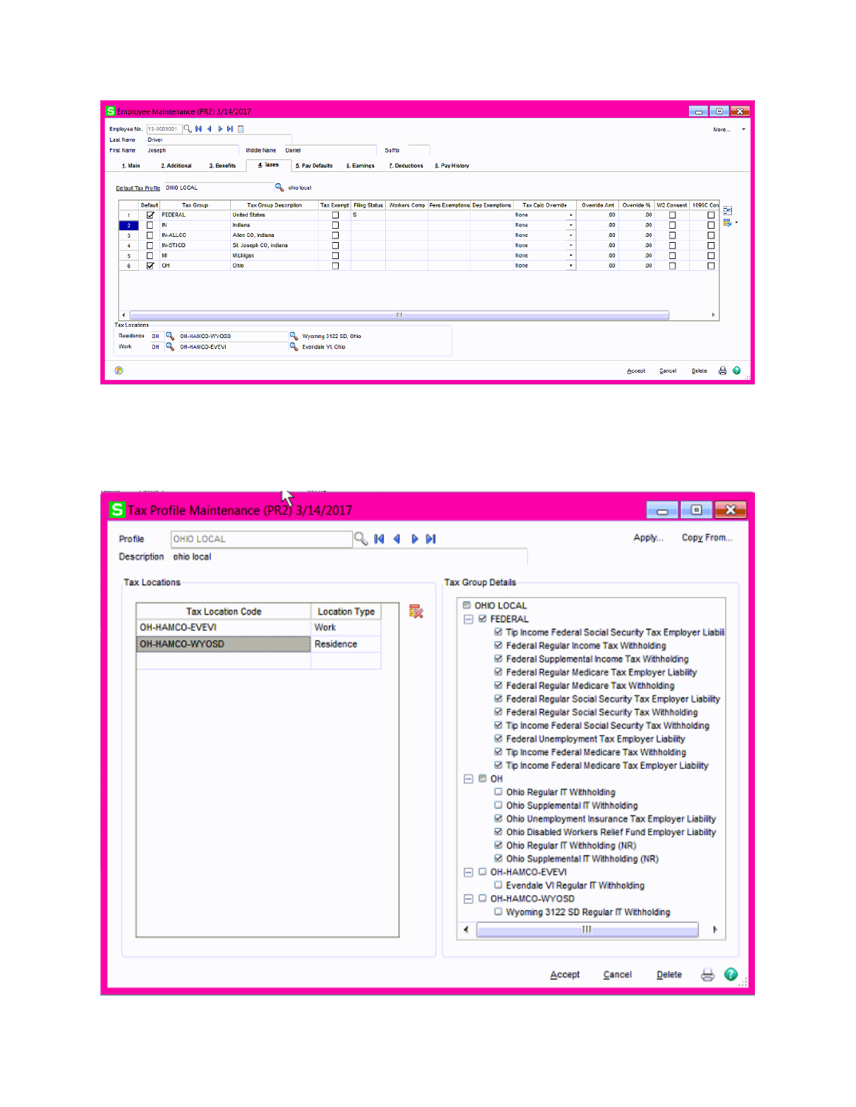| S Employee Maintenance (PR2) 3/14/2017<br>$\mathbf{x}$<br>$\Box$<br>$\Box$ |                                                                                                                                 |         |                        |                              |                       |   |  |                                                                          |  |                            |              |        |                                     |        |                 |
|----------------------------------------------------------------------------|---------------------------------------------------------------------------------------------------------------------------------|---------|------------------------|------------------------------|-----------------------|---|--|--------------------------------------------------------------------------|--|----------------------------|--------------|--------|-------------------------------------|--------|-----------------|
| Employee No.                                                               |                                                                                                                                 |         | 13-0000001 Q M 4 D M E |                              |                       |   |  |                                                                          |  |                            |              |        |                                     |        | More<br>$\cdot$ |
|                                                                            | <b>Last Name</b><br>Driver                                                                                                      |         |                        |                              |                       |   |  |                                                                          |  |                            |              |        |                                     |        |                 |
|                                                                            | Joseph<br><b>Middle Name</b><br>Daniel<br>Suffix<br><b>First Name</b>                                                           |         |                        |                              |                       |   |  |                                                                          |  |                            |              |        |                                     |        |                 |
|                                                                            | 4. Taxes<br>2. Additional<br><b>6. Pay Defaults</b><br>6. Earnings<br>1. Main<br>3. Benefits<br>7. Deductions<br>8. Pay History |         |                        |                              |                       |   |  |                                                                          |  |                            |              |        |                                     |        |                 |
|                                                                            |                                                                                                                                 |         |                        |                              |                       |   |  |                                                                          |  |                            |              |        |                                     |        |                 |
|                                                                            | <b>Q</b> ohio local<br>Default Tax Profile OHIO LOCAL                                                                           |         |                        |                              |                       |   |  |                                                                          |  |                            |              |        |                                     |        |                 |
|                                                                            |                                                                                                                                 | Default | <b>Tax Group</b>       | <b>Tax Group Description</b> |                       |   |  | Tax Exempt Filing Status   Workers Comp   Pers Exemptions Dep Exemptions |  | <b>Tax Calc Override</b>   | Override Ant |        | Override %   W2 Consent   1095C Con |        |                 |
|                                                                            |                                                                                                                                 | ☑       | <b>FEDERAL</b>         | <b>United States</b>         | $\Box$                | s |  |                                                                          |  | None<br>$\star$            | .00.         | .00    | ά                                   | Ω      | S               |
| $\overline{2}$                                                             |                                                                                                                                 | П       | IN                     | Indiana                      | □                     |   |  |                                                                          |  | None<br>$\pmb{\mathrm{v}}$ | .00          | .00    | □                                   | $\Box$ | 影・              |
|                                                                            | з                                                                                                                               | с       | <b>IN-ALLCO</b>        | Allen CO, Indiana            | □                     |   |  |                                                                          |  | None<br>۰                  | .00          | .00    | ◻                                   | о      |                 |
| 4                                                                          |                                                                                                                                 | $\Box$  | <b>IN-STJCO</b>        | St. Joseph CO, Indiana       | $\Box$                |   |  |                                                                          |  | None<br>$\pmb{\cdot}$      | .00          | .00    | $\Box$                              | o      |                 |
|                                                                            | 5                                                                                                                               | $\Box$  | MI                     | Michigan                     | $\Box$                |   |  |                                                                          |  | None<br>$\star$<br>-       | .00          | .00    | □                                   | □      |                 |
|                                                                            | 6                                                                                                                               | Ø       | OH                     | Ohio                         | $\Box$                |   |  |                                                                          |  | None<br>$\star$            | .00          | .00    | □                                   | $\Box$ |                 |
| $\blacktriangleleft$                                                       | $\mathbf{m}$                                                                                                                    |         |                        |                              |                       |   |  |                                                                          |  |                            |              |        |                                     |        |                 |
|                                                                            | <b>Tax Locations</b>                                                                                                            |         |                        |                              |                       |   |  |                                                                          |  |                            |              |        |                                     |        |                 |
|                                                                            | Residence                                                                                                                       | OH      | Q<br>OH-HAMCO-WYOSD    |                              | Wyoming 3122 SD, Ohio |   |  |                                                                          |  |                            |              |        |                                     |        |                 |
| Work                                                                       |                                                                                                                                 | OH      | OH-HAMCO-EVEVI         |                              | Evendale VI, Ohio     |   |  |                                                                          |  |                            |              |        |                                     |        |                 |
| ⊕                                                                          |                                                                                                                                 |         |                        |                              |                       |   |  |                                                                          |  |                            |              | Accept | Cancel                              | Delete | ₿<br>$\bullet$  |

| 5 Tax Profile Maintenance (PR2) 3/14/2017 |                           | e                                                                                              |  |  |  |  |  |
|-------------------------------------------|---------------------------|------------------------------------------------------------------------------------------------|--|--|--|--|--|
| OHIO LOCAL<br>Profile                     | Q 144 D DI                | Copy From<br>Apply                                                                             |  |  |  |  |  |
| Description ohio local                    |                           |                                                                                                |  |  |  |  |  |
| <b>Tax Locations</b>                      |                           | <b>Tax Group Details</b>                                                                       |  |  |  |  |  |
| <b>Tax Location Code</b>                  | 譟<br><b>Location Type</b> | <b>E OHIO LOCAL</b><br>$\Box$ $\Box$ Federal                                                   |  |  |  |  |  |
| OH-HAMCO-EVEVI                            | Work                      | Tip Income Federal Social Security Tax Employer Liabili                                        |  |  |  |  |  |
| OH-HAMCO-WYOSD                            | Residence                 | ⊠ Federal Regular Income Tax Withholding                                                       |  |  |  |  |  |
|                                           |                           | ☑ Federal Supplemental Income Tax Withholding                                                  |  |  |  |  |  |
|                                           |                           | ☑ Federal Regular Medicare Tax Employer Liability                                              |  |  |  |  |  |
|                                           |                           | ⊠ Federal Regular Medicare Tax Withholding                                                     |  |  |  |  |  |
|                                           |                           | ☑ Federal Regular Social Security Tax Employer Liability                                       |  |  |  |  |  |
|                                           |                           | ☑ Federal Regular Social Security Tax Withholding                                              |  |  |  |  |  |
|                                           |                           | ⊠ Tip Income Federal Social Security Tax Withholding                                           |  |  |  |  |  |
|                                           |                           | ☑ Federal Unemployment Tax Employer Liability<br>⊠ Tip Income Federal Medicare Tax Withholding |  |  |  |  |  |
|                                           |                           | ⊠ Tip Income Federal Medicare Tax Employer Liability                                           |  |  |  |  |  |
|                                           |                           | $\Box$ $\Box$ OH                                                                               |  |  |  |  |  |
|                                           |                           | □ Ohio Regular IT Withholding                                                                  |  |  |  |  |  |
|                                           |                           | O Ohio Supplemental IT Withholding                                                             |  |  |  |  |  |
|                                           |                           | ☑ Ohio Unemployment Insurance Tax Employer Liability                                           |  |  |  |  |  |
|                                           |                           | ⊠ Ohio Disabled Workers Relief Fund Employer Liability                                         |  |  |  |  |  |
|                                           |                           | ⊠ Ohio Regular IT Withholding (NR)                                                             |  |  |  |  |  |
|                                           |                           | ☑ Ohio Supplemental IT Withholding (NR)<br>□ OH-HAMCO-EVEVI                                    |  |  |  |  |  |
|                                           |                           | Evendale VI Regular IT Withholding                                                             |  |  |  |  |  |
|                                           |                           | □ OH-HAMCO-WYOSD                                                                               |  |  |  |  |  |
|                                           |                           | Wyoming 3122 SD Regular IT Withholding                                                         |  |  |  |  |  |
|                                           |                           | ٠<br>Ш<br>Þ                                                                                    |  |  |  |  |  |
|                                           |                           |                                                                                                |  |  |  |  |  |
|                                           |                           |                                                                                                |  |  |  |  |  |
|                                           |                           | Accept<br>Cancel<br><b>Delete</b>                                                              |  |  |  |  |  |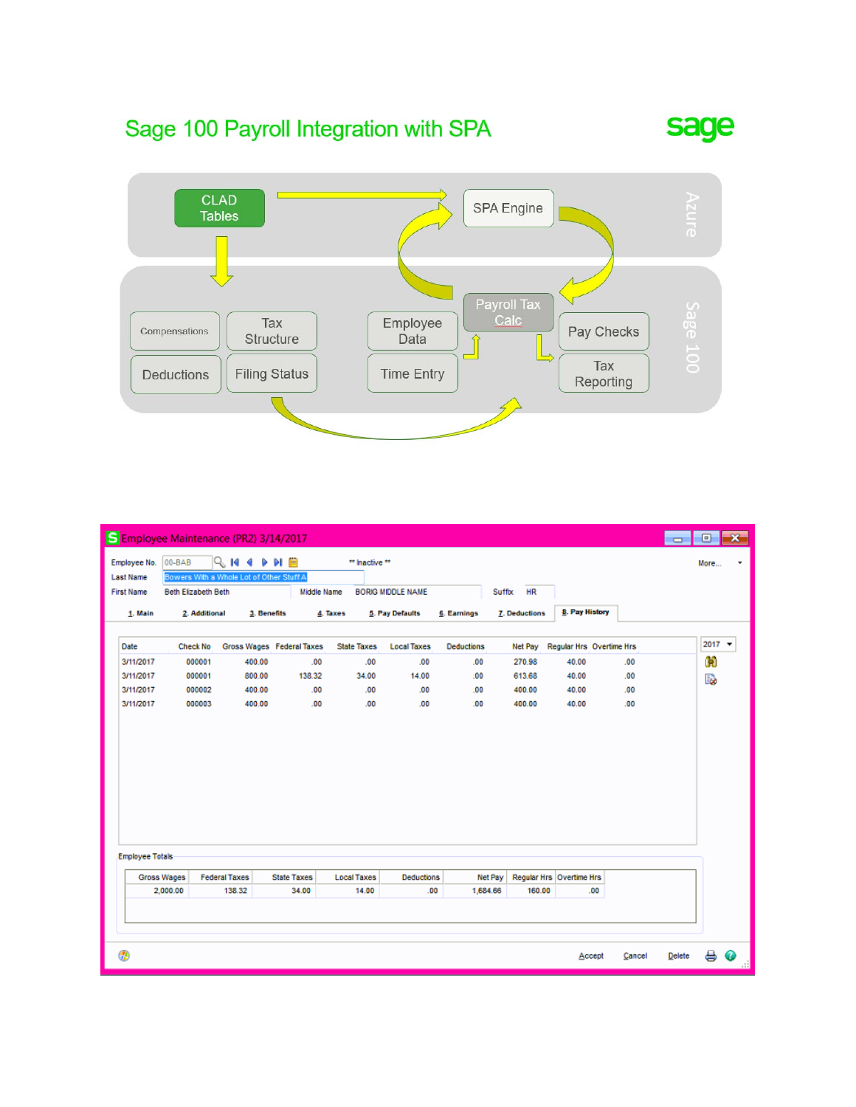# Sage 100 Payroll Integration with SPA





|                                  |                     | S Employee Maintenance (PR2) 3/14/2017                    |                           |                    |                          |                   |                      |                                 |            | $\Box$        | $\Box$         | $\mathbf{x}$ |
|----------------------------------|---------------------|-----------------------------------------------------------|---------------------------|--------------------|--------------------------|-------------------|----------------------|---------------------------------|------------|---------------|----------------|--------------|
| Employee No.<br><b>Last Name</b> | 00-BAB              | <b>QM4PHB</b><br>Bowers With a Whole Lot of Other Stuff A |                           | ** Inactive **     |                          |                   |                      |                                 |            |               | More           | ٠            |
| <b>First Name</b>                | Beth Elizabeth Beth |                                                           | Middle Name               |                    | <b>BORIG MIDDLE NAME</b> |                   | <b>HR</b><br>Suffix  |                                 |            |               |                |              |
| 1. Main                          | 2. Additional       | 3. Benefits                                               |                           | 4. Taxes           | 5. Pay Defaults          | 6. Earnings       | <b>7. Deductions</b> | 8. Pay History                  |            |               |                |              |
|                                  |                     |                                                           |                           |                    |                          |                   |                      |                                 |            |               |                |              |
| Date                             | <b>Check No</b>     |                                                           | Gross Wages Federal Taxes | <b>State Taxes</b> | <b>Local Taxes</b>       | <b>Deductions</b> | <b>Net Pay</b>       | <b>Regular Hrs</b> Overtime Hrs |            |               | $2017$ $\star$ |              |
| 3/11/2017                        | 000001              | 400.00                                                    | .00                       | .00                | .00                      | .00               | 270.98               | 40.00                           | .00        |               | û0             |              |
| 3/11/2017                        | 000001              | 800.00                                                    | 138.32                    | 34.00              | 14.00                    | .00               | 613.68               | 40.00                           | .00        |               | B              |              |
| 3/11/2017<br>3/11/2017           | 000002<br>000003    | 400.00<br>400.00                                          | .00<br>.00                | .00<br>.00         | .00<br>.00               | .00<br>.00        | 400.00<br>400.00     | 40.00<br>40.00                  | .00<br>.00 |               |                |              |
| <b>Employee Totals</b>           |                     |                                                           |                           |                    |                          |                   |                      |                                 |            |               |                |              |
| <b>Gross Wages</b>               |                     | <b>Federal Taxes</b>                                      | <b>State Taxes</b>        | <b>Local Taxes</b> | <b>Deductions</b>        | <b>Net Pay</b>    |                      | Regular Hrs Overtime Hrs        |            |               |                |              |
|                                  | 2,000.00            | 138.32                                                    | 34.00                     | 14.00              | .00                      | 1,684.66          | 160.00               | .00                             |            |               |                |              |
| ۲                                |                     |                                                           |                           |                    |                          |                   |                      | Accept                          | Cancel     | <b>Delete</b> | 8              | ◉            |